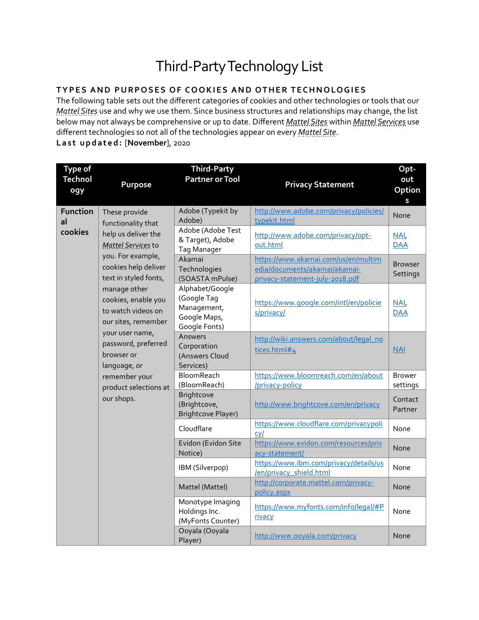## Third-PartyTechnology List

## **TYPES AND PURPOSES OF COOKIES AND OTHER TECHNOLOGIES**

The following table sets out the different categories of cookies and other technologies or tools that our *Mattel Sites* use and why we use them. Since business structures and relationships may change, the list below may not always be comprehensive or up to date. Different *Mattel Sites* within *Mattel Services* use different technologies so not all of the technologies appear on every *Mattel Site*. **Last updated:** [**November**], 2020

| <b>Type of</b><br><b>Technol</b><br>ogy | Purpose                                                                                                                      | <b>Third-Party</b><br><b>Partner or Tool</b>                                   | <b>Privacy Statement</b>                                                                                | Opt-<br>out<br>Option<br>S                    |                         |
|-----------------------------------------|------------------------------------------------------------------------------------------------------------------------------|--------------------------------------------------------------------------------|---------------------------------------------------------------------------------------------------------|-----------------------------------------------|-------------------------|
| <b>Function</b><br>al                   | These provide<br>functionality that                                                                                          | Adobe (Typekit by<br>Adobe)                                                    | http://www.adobe.com/privacy/policies/<br>typekit.html                                                  | <b>None</b>                                   |                         |
| cookies                                 | help us deliver the<br><b>Mattel Services to</b><br>you. For example,<br>cookies help deliver<br>text in styled fonts,       |                                                                                | Adobe (Adobe Test<br>& Target), Adobe<br><b>Tag Manager</b>                                             | http://www.adobe.com/privacy/opt-<br>out.html | NAI<br>$\overline{DAA}$ |
|                                         |                                                                                                                              | Akamai<br>Technologies<br>(SOASTA mPulse)                                      | https://www.akamai.com/us/en/multim<br>edia/documents/akamai/akamai-<br>privacy-statement-july-2018.pdf | <b>Browser</b><br>Settings                    |                         |
|                                         | manage other<br>cookies, enable you<br>to watch videos on<br>our sites, remember                                             | Alphabet/Google<br>(Google Tag<br>Management,<br>Google Maps,<br>Google Fonts) | https://www.google.com/intl/en/policie<br>s/privacy/                                                    | NAI,<br>$\overline{DAA}$                      |                         |
|                                         | your user name,<br>password, preferred<br>browser or<br>language, or<br>remember your<br>product selections at<br>our shops. | Answers<br>Corporation<br>(Answers Cloud<br>Services)                          | http://wiki.answers.com/about/legal_no<br>tices.html#4                                                  | NAI                                           |                         |
|                                         |                                                                                                                              | BloomReach<br>(BloomReach)                                                     | https://www.bloomreach.com/en/about<br>/privacy-policy                                                  | <b>Brower</b><br>settings                     |                         |
|                                         |                                                                                                                              | Brightcove<br>(Brightcove,<br><b>Brightcove Player)</b>                        | http://www.brightcove.com/en/privacy                                                                    | Contact<br>Partner                            |                         |
|                                         |                                                                                                                              | Cloudflare                                                                     | https://www.cloudflare.com/privacypoli<br>$CV$                                                          | None                                          |                         |
|                                         |                                                                                                                              | Evidon (Evidon Site<br>Notice)                                                 | https://www.evidon.com/resources/priv<br>acy-statement/                                                 | None                                          |                         |
|                                         |                                                                                                                              | IBM (Silverpop)                                                                | https://www.ibm.com/privacy/details/us<br>/en/privacy_shield.html                                       | None                                          |                         |
|                                         |                                                                                                                              | Mattel (Mattel)                                                                | http://corporate.mattel.com/privacy-<br>policy.aspx                                                     | None                                          |                         |
|                                         |                                                                                                                              | Monotype Imaging<br>Holdings Inc.<br>(MyFonts Counter)                         | https://www.myfonts.com/info/legal/#P<br>rivacy                                                         | None                                          |                         |
|                                         |                                                                                                                              | Ooyala (Ooyala<br>Player)                                                      | http://www.ooyala.com/privacy                                                                           | None                                          |                         |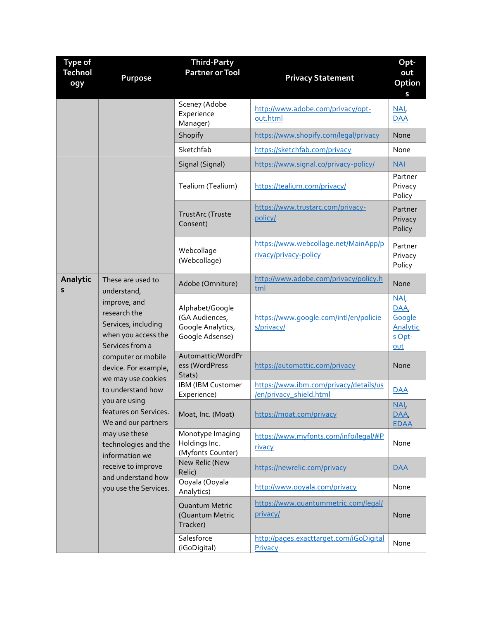| <b>Type of</b><br><b>Technol</b><br>ogy | Purpose                                                                                                                                                                                                                                                                                | <b>Third-Party</b><br><b>Partner or Tool</b>                              | <b>Privacy Statement</b>                                          | Opt-<br>out<br>Option                              |
|-----------------------------------------|----------------------------------------------------------------------------------------------------------------------------------------------------------------------------------------------------------------------------------------------------------------------------------------|---------------------------------------------------------------------------|-------------------------------------------------------------------|----------------------------------------------------|
|                                         |                                                                                                                                                                                                                                                                                        | Scene7 (Adobe<br>Experience<br>Manager)                                   | http://www.adobe.com/privacy/opt-<br>out.html                     | S<br>NAI<br><b>DAA</b>                             |
|                                         |                                                                                                                                                                                                                                                                                        | Shopify                                                                   | https://www.shopify.com/legal/privacy                             | None                                               |
|                                         |                                                                                                                                                                                                                                                                                        | Sketchfab                                                                 | https://sketchfab.com/privacy                                     | None                                               |
|                                         |                                                                                                                                                                                                                                                                                        | Signal (Signal)                                                           | https://www.signal.co/privacy-policy/                             | NAI                                                |
|                                         |                                                                                                                                                                                                                                                                                        | Tealium (Tealium)                                                         | https://tealium.com/privacy/                                      | Partner<br>Privacy<br>Policy                       |
|                                         |                                                                                                                                                                                                                                                                                        | <b>TrustArc (Truste</b><br>Consent)                                       | https://www.trustarc.com/privacy-<br>policy/                      | Partner<br>Privacy<br>Policy                       |
|                                         |                                                                                                                                                                                                                                                                                        | Webcollage<br>(Webcollage)                                                | https://www.webcollage.net/MainApp/p<br>rivacy/privacy-policy     | Partner<br>Privacy<br>Policy                       |
| Analytic<br>S                           | These are used to<br>understand,                                                                                                                                                                                                                                                       | Adobe (Omniture)                                                          | http://www.adobe.com/privacy/policy.h<br>tml                      | None                                               |
|                                         | improve, and<br>research the<br>Services, including<br>when you access the<br>Services from a                                                                                                                                                                                          | Alphabet/Google<br>(GA Audiences,<br>Google Analytics,<br>Google Adsense) | https://www.google.com/intl/en/policie<br>s/privacy/              | NAI<br>DAA,<br>Google<br>Analytic<br>s Opt-<br>out |
|                                         | computer or mobile<br>device. For example,<br>we may use cookies<br>to understand how<br>you are using<br>features on Services.<br>We and our partners<br>may use these<br>technologies and the<br>information we<br>receive to improve<br>and understand how<br>you use the Services. | Automattic/WordPr<br>ess (WordPress<br>Stats)                             | https://automattic.com/privacy                                    | None                                               |
|                                         |                                                                                                                                                                                                                                                                                        | IBM (IBM Customer<br>Experience)                                          | https://www.ibm.com/privacy/details/us<br>/en/privacy_shield.html | <b>DAA</b>                                         |
|                                         |                                                                                                                                                                                                                                                                                        | Moat, Inc. (Moat)                                                         | https://moat.com/privacy                                          | NAI<br>DAA,<br><b>EDAA</b>                         |
|                                         |                                                                                                                                                                                                                                                                                        | Monotype Imaging<br>Holdings Inc.<br>(Myfonts Counter)                    | https://www.myfonts.com/info/legal/#P<br>rivacy                   | None                                               |
|                                         |                                                                                                                                                                                                                                                                                        | New Relic (New<br>Relic)                                                  | https://newrelic.com/privacy                                      | $\overline{DAA}$                                   |
|                                         |                                                                                                                                                                                                                                                                                        | Ooyala (Ooyala<br>Analytics)                                              | http://www.ooyala.com/privacy                                     | None                                               |
|                                         |                                                                                                                                                                                                                                                                                        | Quantum Metric<br>(Quantum Metric<br>Tracker)                             | https://www.quantummetric.com/legal/<br>privacy/                  | None                                               |
|                                         |                                                                                                                                                                                                                                                                                        | Salesforce<br>(iGoDigital)                                                | http://pages.exacttarget.com/iGoDigital<br>Privacy                | None                                               |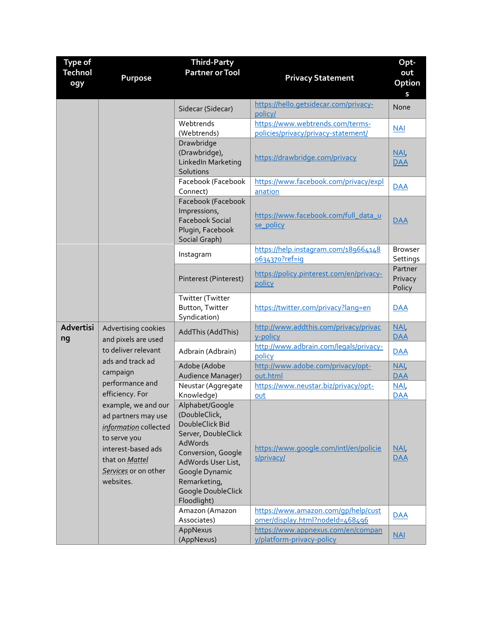| <b>Type of</b>  |                                                                                                                                                                                                                                                               | <b>Third-Party</b>                                                                                                                                                                                       |                                                                         | Opt-                         |
|-----------------|---------------------------------------------------------------------------------------------------------------------------------------------------------------------------------------------------------------------------------------------------------------|----------------------------------------------------------------------------------------------------------------------------------------------------------------------------------------------------------|-------------------------------------------------------------------------|------------------------------|
| <b>Technol</b>  |                                                                                                                                                                                                                                                               | <b>Partner or Tool</b>                                                                                                                                                                                   |                                                                         | out                          |
| ogy             | Purpose                                                                                                                                                                                                                                                       |                                                                                                                                                                                                          | <b>Privacy Statement</b>                                                | Option                       |
|                 |                                                                                                                                                                                                                                                               |                                                                                                                                                                                                          |                                                                         | S                            |
|                 |                                                                                                                                                                                                                                                               | Sidecar (Sidecar)                                                                                                                                                                                        | https://hello.getsidecar.com/privacy-<br>policy/                        | None                         |
|                 |                                                                                                                                                                                                                                                               | Webtrends<br>(Webtrends)                                                                                                                                                                                 | https://www.webtrends.com/terms-<br>policies/privacy/privacy-statement/ | <b>NAI</b>                   |
|                 |                                                                                                                                                                                                                                                               | Drawbridge<br>(Drawbridge),<br>LinkedIn Marketing<br>Solutions                                                                                                                                           | https://drawbridge.com/privacy                                          | NAI<br><b>DAA</b>            |
|                 |                                                                                                                                                                                                                                                               | Facebook (Facebook<br>Connect)                                                                                                                                                                           | https://www.facebook.com/privacy/expl<br>anation                        | <b>DAA</b>                   |
|                 |                                                                                                                                                                                                                                                               | Facebook (Facebook<br>Impressions,<br><b>Facebook Social</b><br>Plugin, Facebook<br>Social Graph)                                                                                                        | https://www.facebook.com/full_data_u<br>se policy                       | <b>DAA</b>                   |
|                 |                                                                                                                                                                                                                                                               | Instagram                                                                                                                                                                                                | https://help.instagram.com/189664148<br>0634370?ref=ig                  | <b>Browser</b><br>Settings   |
|                 |                                                                                                                                                                                                                                                               | Pinterest (Pinterest)                                                                                                                                                                                    | https://policy.pinterest.com/en/privacy-<br>policy                      | Partner<br>Privacy<br>Policy |
|                 |                                                                                                                                                                                                                                                               | Twitter (Twitter<br>Button, Twitter<br>Syndication)                                                                                                                                                      | https://twitter.com/privacy?lang=en                                     | <b>DAA</b>                   |
| Advertisi<br>ng | Advertising cookies<br>and pixels are used                                                                                                                                                                                                                    | AddThis (AddThis)                                                                                                                                                                                        | http://www.addthis.com/privacy/privac<br>y-policy                       | NAI<br><b>DAA</b>            |
|                 | to deliver relevant<br>ads and track ad<br>campaign<br>performance and<br>efficiency. For<br>example, we and our<br>ad partners may use<br>information collected<br>to serve you<br>interest-based ads<br>that on Mattel<br>Services or on other<br>websites. | Adbrain (Adbrain)                                                                                                                                                                                        | http://www.adbrain.com/legals/privacy-<br>policy                        | <b>DAA</b>                   |
|                 |                                                                                                                                                                                                                                                               | Adobe (Adobe<br>Audience Manager)                                                                                                                                                                        | http://www.adobe.com/privacy/opt-<br>out.html                           | NAI<br><b>DAA</b>            |
|                 |                                                                                                                                                                                                                                                               | Neustar (Aggregate                                                                                                                                                                                       | https://www.neustar.biz/privacy/opt-                                    | NAI,                         |
|                 |                                                                                                                                                                                                                                                               | Knowledge)                                                                                                                                                                                               | out                                                                     | <b>DAA</b>                   |
|                 |                                                                                                                                                                                                                                                               | Alphabet/Google<br>(DoubleClick,<br>DoubleClick Bid<br>Server, DoubleClick<br>AdWords<br>Conversion, Google<br>AdWords User List,<br>Google Dynamic<br>Remarketing,<br>Google DoubleClick<br>Floodlight) | https://www.google.com/intl/en/policie<br>s/privacy/                    | NAI<br><b>DAA</b>            |
|                 |                                                                                                                                                                                                                                                               | Amazon (Amazon<br>Associates)                                                                                                                                                                            | https://www.amazon.com/gp/help/cust<br>omer/display.html?nodeId=468496  | <b>DAA</b>                   |
|                 |                                                                                                                                                                                                                                                               | AppNexus                                                                                                                                                                                                 | https://www.appnexus.com/en/compan                                      |                              |
|                 |                                                                                                                                                                                                                                                               | (AppNexus)                                                                                                                                                                                               | y/platform-privacy-policy                                               | $NAI$                        |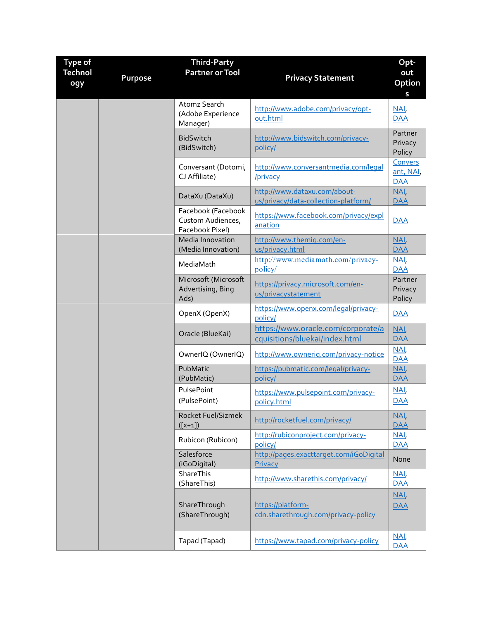| <b>Type of</b><br><b>Technol</b><br>ogy | Purpose | <b>Third-Party</b><br><b>Partner or Tool</b>               | <b>Privacy Statement</b>                                             | Opt-<br>out<br>Option<br>S        |
|-----------------------------------------|---------|------------------------------------------------------------|----------------------------------------------------------------------|-----------------------------------|
|                                         |         | Atomz Search<br>(Adobe Experience<br>Manager)              | http://www.adobe.com/privacy/opt-<br>out.html                        | NAI<br><b>DAA</b>                 |
|                                         |         | <b>BidSwitch</b><br>(BidSwitch)                            | http://www.bidswitch.com/privacy-<br>policy/                         | Partner<br>Privacy<br>Policy      |
|                                         |         | Conversant (Dotomi,<br>CJ Affiliate)                       | http://www.conversantmedia.com/legal<br>/privacy                     | Convers<br>ant, NAI<br><b>DAA</b> |
|                                         |         | DataXu (DataXu)                                            | http://www.dataxu.com/about-<br>us/privacy/data-collection-platform/ | $NAI$<br><b>DAA</b>               |
|                                         |         | Facebook (Facebook<br>Custom Audiences,<br>Facebook Pixel) | https://www.facebook.com/privacy/expl<br>anation                     | $\overline{\mathsf{DAA}}$         |
|                                         |         | Media Innovation<br>(Media Innovation)                     | http://www.themig.com/en-<br>us/privacy.html                         | NAI<br><b>DAA</b>                 |
|                                         |         | MediaMath                                                  | http://www.mediamath.com/privacy-<br>policy/                         | NAI<br><b>DAA</b>                 |
|                                         |         | Microsoft (Microsoft<br>Advertising, Bing<br>Ads)          | https://privacy.microsoft.com/en-<br>us/privacystatement             | Partner<br>Privacy<br>Policy      |
|                                         |         | OpenX (OpenX)                                              | https://www.openx.com/legal/privacy-<br>policy/                      | <b>DAA</b>                        |
|                                         |         | Oracle (BlueKai)                                           | https://www.oracle.com/corporate/a<br>cquisitions/bluekai/index.html | NAI<br><b>DAA</b>                 |
|                                         |         | OwnerIQ (OwnerIQ)                                          | http://www.ownerig.com/privacy-notice                                | NAI<br><b>DAA</b>                 |
|                                         |         | PubMatic<br>(PubMatic)                                     | https://pubmatic.com/legal/privacy-<br>policy/                       | $NAI$<br><b>DAA</b>               |
|                                         |         | PulsePoint<br>(PulsePoint)                                 | https://www.pulsepoint.com/privacy-<br>policy.html                   | NAI<br><b>DAA</b>                 |
|                                         |         | Rocket Fuel/Sizmek<br>$([x+1])$                            | http://rocketfuel.com/privacy/                                       | NAI<br><b>DAA</b>                 |
|                                         |         | Rubicon (Rubicon)                                          | http://rubiconproject.com/privacy-<br>policy/                        | NAI<br><b>DAA</b>                 |
|                                         |         | Salesforce<br>(iGoDigital)                                 | http://pages.exacttarget.com/iGoDigital<br>Privacy                   | None                              |
|                                         |         | ShareThis<br>(ShareThis)                                   | http://www.sharethis.com/privacy/                                    | NAI<br><b>DAA</b>                 |
|                                         |         | ShareThrough<br>(ShareThrough)                             | https://platform-<br>cdn.sharethrough.com/privacy-policy             | NAI<br><b>DAA</b>                 |
|                                         |         | Tapad (Tapad)                                              | https://www.tapad.com/privacy-policy                                 | NAI<br><b>DAA</b>                 |